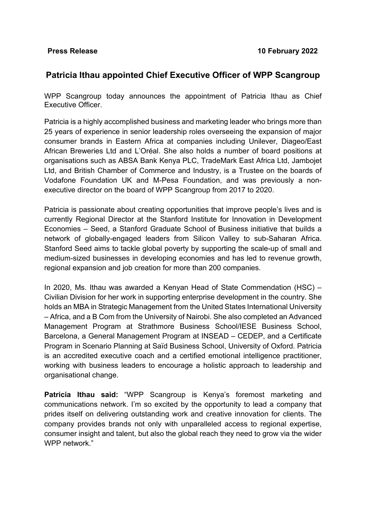## **Patricia Ithau appointed Chief Executive Officer of WPP Scangroup**

WPP Scangroup today announces the appointment of Patricia Ithau as Chief Executive Officer.

Patricia is a highly accomplished business and marketing leader who brings more than 25 years of experience in senior leadership roles overseeing the expansion of major consumer brands in Eastern Africa at companies including Unilever, Diageo/East African Breweries Ltd and L'Oréal. She also holds a number of board positions at organisations such as ABSA Bank Kenya PLC, TradeMark East Africa Ltd, Jambojet Ltd, and British Chamber of Commerce and Industry, is a Trustee on the boards of Vodafone Foundation UK and M-Pesa Foundation, and was previously a nonexecutive director on the board of WPP Scangroup from 2017 to 2020.

Patricia is passionate about creating opportunities that improve people's lives and is currently Regional Director at the Stanford Institute for Innovation in Development Economies – Seed, a Stanford Graduate School of Business initiative that builds a network of globally-engaged leaders from Silicon Valley to sub-Saharan Africa. Stanford Seed aims to tackle global poverty by supporting the scale-up of small and medium-sized businesses in developing economies and has led to revenue growth, regional expansion and job creation for more than 200 companies.

In 2020, Ms. Ithau was awarded a Kenyan Head of State Commendation (HSC) – Civilian Division for her work in supporting enterprise development in the country. She holds an MBA in Strategic Management from the United States International University – Africa, and a B Com from the University of Nairobi. She also completed an Advanced Management Program at Strathmore Business School/IESE Business School, Barcelona, a General Management Program at INSEAD – CEDEP, and a Certificate Program in Scenario Planning at Saïd Business School, University of Oxford. Patricia is an accredited executive coach and a certified emotional intelligence practitioner, working with business leaders to encourage a holistic approach to leadership and organisational change.

**Patricia Ithau said:** "WPP Scangroup is Kenya's foremost marketing and communications network. I'm so excited by the opportunity to lead a company that prides itself on delivering outstanding work and creative innovation for clients. The company provides brands not only with unparalleled access to regional expertise, consumer insight and talent, but also the global reach they need to grow via the wider WPP network."